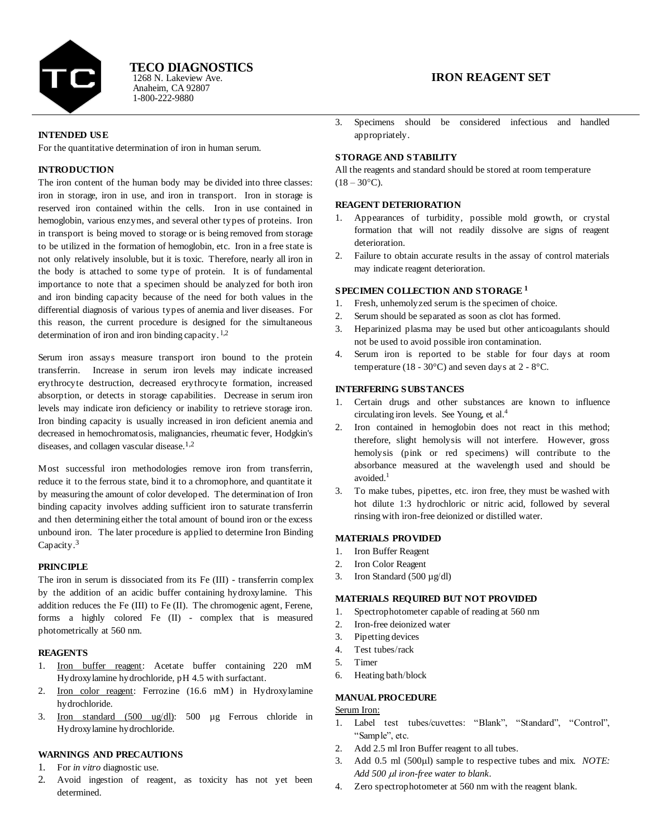

Anaheim, CA 92807 1-800-222-9880 1268 N. Lakeview Ave. **TECO DIAGNOSTICS**

### **INTENDED USE**

For the quantitative determination of iron in human serum.

# **INTRODUCTION**

The iron content of the human body may be divided into three classes: iron in storage, iron in use, and iron in transport. Iron in storage is reserved iron contained within the cells. Iron in use contained in hemoglobin, various enzymes, and several other types of proteins. Iron in transport is being moved to storage or is being removed from storage to be utilized in the formation of hemoglobin, etc. Iron in a free state is not only relatively insoluble, but it is toxic. Therefore, nearly all iron in the body is attached to some type of protein. It is of fundamental importance to note that a specimen should be analyzed for both iron and iron binding capacity because of the need for both values in the differential diagnosis of various types of anemia and liver diseases. For this reason, the current procedure is designed for the simultaneous determination of iron and iron binding capacity.  $\frac{1}{2}$ 

Serum iron assays measure transport iron bound to the protein transferrin. Increase in serum iron levels may indicate increased erythrocyte destruction, decreased erythrocyte formation, increased absorption, or detects in storage capabilities. Decrease in serum iron levels may indicate iron deficiency or inability to retrieve storage iron. Iron binding capacity is usually increased in iron deficient anemia and decreased in hemochromatosis, malignancies, rheumatic fever, Hodgkin's diseases, and collagen vascular disease.<sup>1,2</sup>

Most successful iron methodologies remove iron from transferrin, reduce it to the ferrous state, bind it to a chromophore, and quantitate it by measuring the amount of color developed. The determination of Iron binding capacity involves adding sufficient iron to saturate transferrin and then determining either the total amount of bound iron or the excess unbound iron. The later procedure is applied to determine Iron Binding Capacity.<sup>3</sup>

### **PRINCIPLE**

The iron in serum is dissociated from its Fe (III) - transferrin complex by the addition of an acidic buffer containing hydroxylamine. This addition reduces the Fe (III) to Fe (II). The chromogenic agent, Ferene, forms a highly colored Fe (II) - complex that is measured photometrically at 560 nm.

### **REAGENTS**

- 1. Iron buffer reagent: Acetate buffer containing 220 mM Hydroxylamine hydrochloride, pH 4.5 with surfactant.
- 2. Iron color reagent: Ferrozine (16.6 mM) in Hydroxylamine hydrochloride.
- 3. Iron standard (500 ug/dl): 500 µg Ferrous chloride in Hydroxylamine hydrochloride.

## **WARNINGS AND PRECAUTIONS**

- 1. For *in vitro* diagnostic use.
- 2. Avoid ingestion of reagent, as toxicity has not yet been determined.

# **IRON REAGENT SET**

3. Specimens should be considered infectious and handled appropriately.

# **STORAGE AND STABILITY**

All the reagents and standard should be stored at room temperature  $(18 - 30^{\circ}C)$ .

## **REAGENT DETERIORATION**

- 1. Appearances of turbidity, possible mold growth, or crystal formation that will not readily dissolve are signs of reagent deterioration.
- 2. Failure to obtain accurate results in the assay of control materials may indicate reagent deterioration.

### **SPECIMEN COLLECTION AND STORAGE <sup>1</sup>**

- 1. Fresh, unhemolyzed serum is the specimen of choice.
- 2. Serum should be separated as soon as clot has formed.
- 3. Heparinized plasma may be used but other anticoagulants should not be used to avoid possible iron contamination.
- 4. Serum iron is reported to be stable for four days at room temperature (18 - 30 $^{\circ}$ C) and seven days at 2 - 8 $^{\circ}$ C.

### **INTERFERING SUBSTANCES**

- 1. Certain drugs and other substances are known to influence circulating iron levels. See Young, et al. 4
- 2. Iron contained in hemoglobin does not react in this method; therefore, slight hemolysis will not interfere. However, gross hemolysis (pink or red specimens) will contribute to the absorbance measured at the wavelength used and should be avoided. 1
- 3. To make tubes, pipettes, etc. iron free, they must be washed with hot dilute 1:3 hydrochloric or nitric acid, followed by several rinsing with iron-free deionized or distilled water.

#### **MATERIALS PROVIDED**

- 1. Iron Buffer Reagent
- 2. Iron Color Reagent
- 3. Iron Standard (500  $\mu$ g/dl)

# **MATERIALS REQUIRED BUT NOT PROVIDED**

- 1. Spectrophotometer capable of reading at 560 nm
- 2. Iron-free deionized water
- 3. Pipetting devices
- 4. Test tubes/rack
- 5. Timer
- 6. Heating bath/block
- 
- **MANUAL PROCEDURE**

# Serum Iron:

- 1. Label test tubes/cuvettes: "Blank", "Standard", "Control", "Sample", etc.
- 2. Add 2.5 ml Iron Buffer reagent to all tubes.
- 3. Add 0.5 ml (500 $\mu$ l) sample to respective tubes and mix. *NOTE*: Add 500  $\mu$ *l* iron-free water to blank.
- 4. Zero spectrophotometer at 560 nm with the reagent blank.